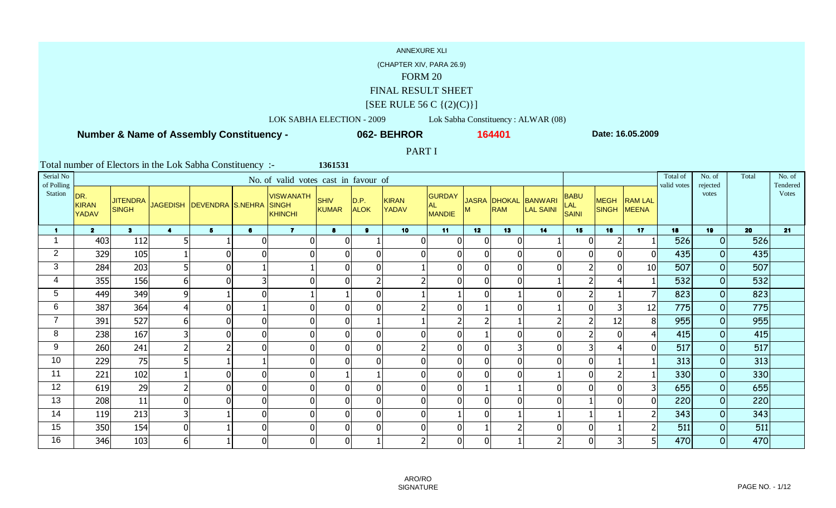## FINAL RESULT SHEET

# $[SEE$  RULE 56 C  $\{(2)(C)\}]$

LOK SABHA ELECTION - 2009 Lok Sabha Constituency : ALWAR (08)

 **Number & Name of Assembly Constituency -**

**062- BEHROR**

**<sup>164401</sup> Date: 16.05.2009**

PART I

| Serial No<br>of Polling |                                     |                                 |                         |                           |              | No. of valid votes cast in favour of               |                             |                     |                       |                                       |                 |            |                                          |                             |                             |                         | Total of<br>valid votes | No. of<br>rejected | Total | No. of<br>Tendered |
|-------------------------|-------------------------------------|---------------------------------|-------------------------|---------------------------|--------------|----------------------------------------------------|-----------------------------|---------------------|-----------------------|---------------------------------------|-----------------|------------|------------------------------------------|-----------------------------|-----------------------------|-------------------------|-------------------------|--------------------|-------|--------------------|
| Station                 | DR.<br><b>KIRAN</b><br><b>YADAV</b> | <b>JITENDRA</b><br><b>SINGH</b> |                         | JAGEDISH DEVENDRA S.NEHRA |              | <b>VISWANATH</b><br><b>SINGH</b><br><b>KHINCHI</b> | <b>SHIV</b><br><b>KUMAR</b> | D.P.<br><b>ALOK</b> | <b>KIRAN</b><br>YADAV | <b>GURDAY</b><br>AL.<br><b>MANDIE</b> | м               | <b>RAM</b> | JASRA DHOKAL BANWARI<br><b>LAL SAINI</b> | <b>BABU</b><br>LAL<br>SAINI | <b>MEGH</b><br><b>SINGH</b> | <b>RAM LAL</b><br>MEENA |                         | votes              |       | <b>Votes</b>       |
|                         | $\overline{2}$                      | 3 <sup>1</sup>                  | $\overline{\mathbf{4}}$ | 5                         | 6            | $\overline{7}$                                     | 8                           | $\mathbf{9}$        | 10                    | 11                                    | 12 <sub>2</sub> | 13         | 14                                       | 15                          | 16                          | 17                      | 18                      | 19                 | 20    | 21                 |
|                         | 403                                 | 112                             | 5                       |                           |              | 0                                                  | $\mathbf 0$                 |                     |                       | $\overline{0}$<br>0                   | $\Omega$        |            |                                          | $\Omega$                    |                             |                         | 526                     | 0                  | 526   |                    |
| $\overline{2}$          | 329                                 | 105                             |                         | $\mathbf{0}$              | $\Omega$     | $\Omega$                                           | $\mathbf{0}$                | $\overline{0}$      |                       | 0<br>$\Omega$                         | $\mathbf{0}$    |            | $\overline{0}$                           | $\Omega$                    | $\overline{0}$              |                         | 435                     | 0                  | 435   |                    |
| 3                       | 284                                 | 203                             |                         | $\mathbf{0}$              |              |                                                    | $\mathbf{0}$                | $\overline{0}$      |                       | $\Omega$                              | $\mathbf 0$     |            | $\mathbf{0}$                             |                             | $\overline{0}$              | 10                      | 507                     | 0                  | 507   |                    |
| 4                       | 355                                 | 156                             | $6 \mid$                | $\overline{0}$            | 3            | $\mathbf{0}$                                       | $\overline{0}$              | $\overline{2}$      |                       | $\Omega$                              | $\overline{0}$  |            |                                          | ົາ                          | 4                           |                         | 532                     | 0                  | 532   |                    |
| 5                       | 449                                 | 349                             | $\overline{9}$          |                           | 0            |                                                    |                             | $\overline{0}$      |                       |                                       | $\mathbf 0$     |            | $\overline{0}$                           |                             |                             |                         | 823                     | 0                  | 823   |                    |
| 6                       | 387                                 | 364                             | $\overline{4}$          | $\mathbf{0}$              |              | 0                                                  | $\mathbf 0$                 | $\overline{0}$      |                       | $\overline{0}$                        |                 |            |                                          | 0                           | 3                           | 12                      | 775                     | 0                  | 775   |                    |
| 7                       | 391                                 | 527                             | 6 <sup>1</sup>          | $\mathbf 0$               | $\mathbf 0$  | 0                                                  | $\mathbf 0$                 |                     |                       | 2                                     |                 |            |                                          |                             | 12                          | 8                       | 955                     | 0                  | 955   |                    |
| 8                       | 238                                 | 167                             | 3                       | $\mathbf{0}$              | 0            | 0                                                  | $\mathbf{0}$                | $\overline{0}$      |                       | $\overline{0}$<br>0                   |                 |            | $\Omega$                                 |                             | $\mathbf{0}$                |                         | 415                     | $\overline{O}$     | 415   |                    |
| 9                       | 260                                 | 241                             | $\overline{2}$          |                           | $\Omega$     | $\mathbf{0}$                                       | $\overline{0}$              | $\overline{0}$      |                       | $\Omega$                              | $\mathbf{0}$    |            | $\overline{0}$                           | 3                           | 4                           |                         | 517                     | $\overline{O}$     | 517   |                    |
| 10                      | 229                                 | 75                              | 5                       |                           |              | 0                                                  | $\mathbf{0}$                | $\overline{0}$      |                       | $\overline{0}$<br>$\overline{0}$      | $\mathbf 0$     |            | $\overline{0}$                           | 0                           |                             |                         | 313                     | 0                  | 313   |                    |
| 11                      | 221                                 | 102                             |                         | $\mathbf{0}$              | $\mathbf 0$  | $\Omega$                                           |                             |                     |                       | $\Omega$<br>0                         | $\mathbf{0}$    |            |                                          | $\Omega$                    |                             |                         | 330                     | 0                  | 330   |                    |
| 12                      | 619                                 | 29                              | $\overline{2}$          | $\mathbf{0}$              | $\mathbf{0}$ | $\mathbf{0}$                                       | $\overline{0}$              | $\overline{0}$      |                       | $\overline{0}$<br>$\overline{0}$      |                 |            | $\overline{0}$                           | $\mathbf 0$                 | $\overline{0}$              |                         | 655                     | 0                  | 655   |                    |
| 13                      | 208                                 | 11                              | $\overline{0}$          | $\mathbf{0}$              | $\Omega$     | 0                                                  | $\overline{0}$              | $\overline{0}$      |                       | 01<br>$\Omega$                        | $\mathbf{0}$    |            | $\Omega$                                 |                             | $\mathbf{0}$                |                         | 220                     | 0                  | 220   |                    |
| 14                      | 119                                 | 213                             | 3 <sup>1</sup>          |                           | 0            | $\overline{0}$                                     | $\mathbf 0$                 | $\overline{0}$      |                       | $\overline{0}$                        | $\mathbf 0$     |            |                                          |                             |                             |                         | 343                     | 0                  | 343   |                    |
| 15                      | 350                                 | 154                             | $\overline{0}$          |                           | 0            | 0                                                  | $\mathbf 0$                 | $\mathbf{0}$        |                       | 0 <br>$\overline{0}$                  |                 |            | $\overline{0}$                           | 0                           |                             |                         | 511                     | 0                  | 511   |                    |
| 16                      | 346                                 | 103                             | 6 <sup>1</sup>          |                           | $\mathbf 0$  | $\overline{0}$                                     | $\overline{0}$              |                     |                       | $\overline{2}$<br>$\overline{0}$      | $\mathbf 0$     |            | $\mathcal{P}$                            | $\overline{0}$              | 3                           |                         | 470                     | $\overline{O}$     | 470   |                    |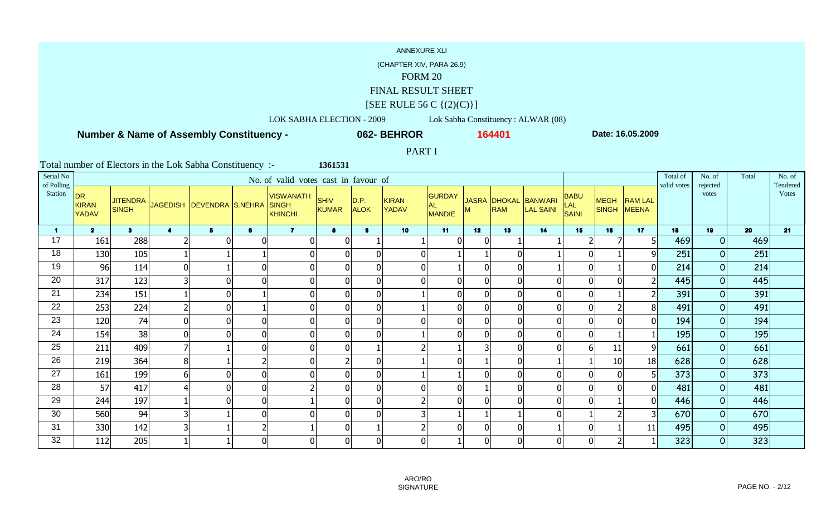## FINAL RESULT SHEET

# $[SEE$  RULE 56 C  $\{(2)(C)\}]$

LOK SABHA ELECTION - 2009 Lok Sabha Constituency : ALWAR (08) **062- BEHROR**

 **Number & Name of Assembly Constituency -**

**<sup>164401</sup> Date: 16.05.2009**

PART I

| Serial No<br>of Polling |                                     |                                 |                         |                           |                | No. of valid votes cast in favour of               |                             |                     |                              |                                             |                 |            |                                          |                      |                             |                         | Total of<br>valid votes | No. of<br>rejected | Total | No. of<br>Tendered |
|-------------------------|-------------------------------------|---------------------------------|-------------------------|---------------------------|----------------|----------------------------------------------------|-----------------------------|---------------------|------------------------------|---------------------------------------------|-----------------|------------|------------------------------------------|----------------------|-----------------------------|-------------------------|-------------------------|--------------------|-------|--------------------|
| <b>Station</b>          | DR.<br><b>KIRAN</b><br><b>YADAV</b> | <b>JITENDRA</b><br><b>SINGH</b> |                         | JAGEDISH DEVENDRA S.NEHRA |                | <b>VISWANATH</b><br><b>SINGH</b><br><b>KHINCHI</b> | <b>SHIV</b><br><b>KUMAR</b> | D.P.<br><b>ALOK</b> | <b>KIRAN</b><br><b>YADAV</b> | <b>GURDAY</b><br><b>AL</b><br><b>MANDIE</b> | м               | <b>RAM</b> | JASRA DHOKAL BANWARI<br><b>LAL SAINI</b> | BABU<br>LAL<br>SAINI | <b>MEGH</b><br><b>SINGH</b> | <b>RAM LAL</b><br>MEENA |                         | votes              |       | <b>Votes</b>       |
|                         | $\overline{2}$                      | 3 <sup>1</sup>                  | $\blacktriangleleft$    | 5                         | 6              | $\overline{7}$                                     | 8                           | 9                   | 10                           | 11                                          | 12 <sup>7</sup> | 13         | 14                                       | 15                   | 16                          | 17                      | 18                      | 19                 | 20    | 21                 |
| 17                      | 161                                 | 288                             | 2                       | $\Omega$                  | $\Omega$       | 0                                                  | $\mathbf 0$                 |                     |                              | $\Omega$                                    | $\Omega$        |            |                                          |                      |                             |                         | 469                     | $\overline{O}$     | 469   |                    |
| 18                      | 130                                 | 105                             |                         |                           |                | 0                                                  | $\mathbf 0$                 | $\overline{0}$      |                              | 0                                           |                 |            |                                          | 0                    |                             |                         | 251                     | 0                  | 251   |                    |
| 19                      | 96                                  | 114                             | $\overline{0}$          |                           | $\mathbf{0}$   | $\overline{0}$                                     | $\overline{0}$              | $\overline{0}$      |                              | $\overline{0}$                              | $\mathbf{0}$    |            |                                          | $\overline{0}$       |                             | $\Omega$                | 214                     | 0                  | 214   |                    |
| 20                      | 317                                 | 123                             | 3                       | $\overline{0}$            | $\Omega$       | $\overline{0}$                                     | $\overline{0}$              | $\overline{0}$      |                              | $\overline{0}$<br>$\overline{0}$            | $\overline{0}$  |            | $\mathbf{0}$                             | $\overline{0}$       | $\overline{0}$              |                         | 445                     | 0                  | 445   |                    |
| 21                      | 234                                 | 151                             |                         | $\mathbf 0$               |                | $\overline{0}$                                     | $\overline{0}$              | $\overline{0}$      |                              | $\overline{0}$                              | $\mathbf 0$     |            | $\mathbf 0$                              | $\overline{0}$       |                             |                         | 391                     | 0                  | 391   |                    |
| 22                      | 253                                 | 224                             | $\overline{2}$          | $\mathbf 0$               |                | 0                                                  | $\mathbf 0$                 | $\overline{0}$      |                              | $\overline{0}$                              | $\mathbf 0$     |            | $\mathbf 0$                              | 0                    | $\overline{2}$              |                         | 491                     | 0                  | 491   |                    |
| 23                      | 120                                 | 74                              | $\overline{0}$          | $\mathbf{0}$              | $\Omega$       | $\Omega$                                           | $\mathbf 0$                 | $\overline{0}$      |                              | $\overline{0}$<br>$\overline{0}$            | $\mathbf 0$     |            | $\mathbf{0}$                             | $\overline{0}$       | $\mathbf{0}$                | $\Omega$                | 194                     | $\overline{O}$     | 194   |                    |
| 24                      | 154                                 | 38                              | $\overline{0}$          | $\mathbf{0}$              | 0              | 0                                                  | $\mathbf 0$                 | $\overline{0}$      |                              | 0                                           | $\mathbf 0$     |            | $\overline{0}$                           | 0                    |                             |                         | 195                     | 0                  | 195   |                    |
| 25                      | 211                                 | 409                             | 7                       |                           | $\mathbf 0$    | $\overline{0}$                                     | $\overline{0}$              |                     |                              |                                             |                 |            | $\mathbf 0$                              | 6                    | 11                          | 9                       | 661                     | $\overline{O}$     | 661   |                    |
| 26                      | 219                                 | 364                             | 8                       |                           | $\overline{2}$ | 0                                                  |                             | $\overline{0}$      |                              | $\overline{0}$                              |                 |            |                                          |                      | 10                          | 18                      | 628                     | 0                  | 628   |                    |
| 27                      | 161                                 | 199                             | 6 <sup>1</sup>          | $\mathbf{0}$              | $\mathbf 0$    | $\Omega$                                           | $\mathbf 0$                 | $\overline{0}$      |                              |                                             | $\mathbf 0$     |            | $\Omega$                                 | $\overline{0}$       | $\overline{0}$              |                         | 373                     | 0                  | 373   |                    |
| 28                      | 57                                  | 417                             | $\overline{4}$          | $\mathbf{0}$              | $\mathbf{0}$   | ົ                                                  | $\mathbf 0$                 | $\overline{0}$      |                              | $\overline{0}$<br>$\overline{0}$            |                 |            | $\Omega$                                 | $\mathbf 0$          | $\mathbf{0}$                |                         | 481                     | 0                  | 481   |                    |
| 29                      | 244                                 | 197                             |                         | $\mathbf 0$               | $\mathbf 0$    |                                                    | $\overline{0}$              | $\overline{0}$      |                              | $\Omega$                                    | $\mathbf{0}$    |            | $\mathbf{0}$                             | $\overline{0}$       |                             |                         | 446                     | 0                  | 446   |                    |
| 30                      | 560                                 | 94                              | $\overline{\mathbf{3}}$ |                           | 0              | 0                                                  | $\mathbf 0$                 | $\overline{0}$      |                              | 3                                           |                 |            | $\mathbf 0$                              |                      | $\overline{2}$              |                         | 670                     | 0                  | 670   |                    |
| 31                      | 330                                 | 142                             | 3                       |                           | $\overline{c}$ |                                                    | $\mathbf 0$                 |                     |                              | $\overline{2}$<br>$\overline{0}$            | $\mathbf 0$     |            |                                          | 0                    |                             | 11 <sub>1</sub>         | 495                     | 0                  | 495   |                    |
| 32                      | 112                                 | 205                             |                         |                           | $\mathbf 0$    | $\overline{0}$                                     | $\overline{0}$              | $\overline{0}$      |                              | $\overline{0}$                              | $\mathbf 0$     |            | $\mathbf 0$                              | $\overline{0}$       | $\overline{2}$              |                         | 323                     | $\overline{O}$     | 323   |                    |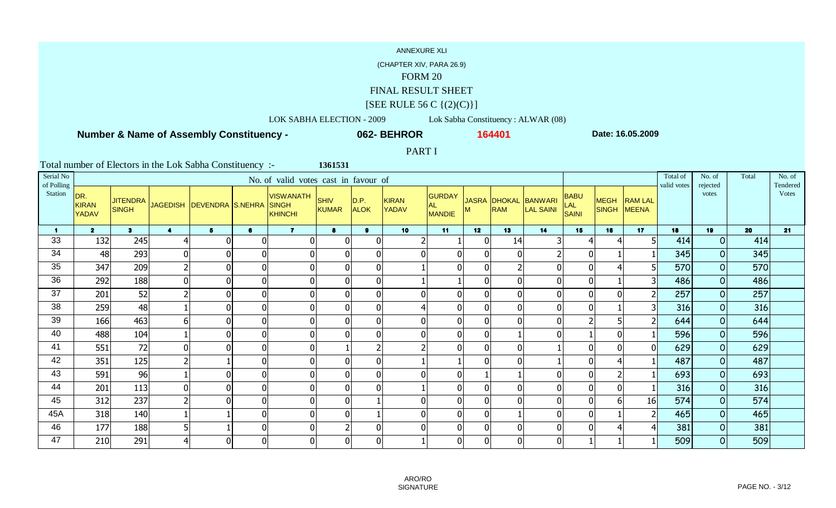# FINAL RESULT SHEET

## $[SEE$  RULE 56 C  $\{(2)(C)\}]$

LOK SABHA ELECTION - 2009 Lok Sabha Constituency : ALWAR (08)

 **Number & Name of Assembly Constituency -**

**062- BEHROR**

**<sup>164401</sup> Date: 16.05.2009**

PART I

| Serial No<br>of Polling |                              |                                 |                |                           |                | No. of valid votes cast in favour of        |                      |                     |                              |                                       |                 |     |                                   |                                    |                             |                                | Total of<br>valid votes | No. of<br>rejected | Total | No. of<br>Tendered |
|-------------------------|------------------------------|---------------------------------|----------------|---------------------------|----------------|---------------------------------------------|----------------------|---------------------|------------------------------|---------------------------------------|-----------------|-----|-----------------------------------|------------------------------------|-----------------------------|--------------------------------|-------------------------|--------------------|-------|--------------------|
| Station                 | DR.<br><b>KIRAN</b><br>YADAV | <b>JITENDRA</b><br><b>SINGH</b> |                | JAGEDISH DEVENDRA S.NEHRA |                | <b>VISWANATH</b><br><b>SINGH</b><br>KHINCHI | <b>SHIV</b><br>KUMAR | D.P.<br><b>ALOK</b> | <b>KIRAN</b><br><b>YADAV</b> | <b>GURDAY</b><br>AL.<br><b>MANDIE</b> |                 | RAM | JASRA DHOKAL BANWARI<br>LAL SAINI | <b>BABU</b><br>LAL<br><b>SAINI</b> | <b>MEGH</b><br><b>SINGH</b> | <b>RAM LAL</b><br><b>MEENA</b> |                         | votes              |       | <b>Votes</b>       |
| $\blacksquare$          | 2 <sup>1</sup>               | 3 <sup>1</sup>                  | $\overline{4}$ | 5 <sub>1</sub>            | 6              | $\overline{7}$                              | $\bullet$            | $\mathbf{9}$        | 10                           | 11                                    | 12 <sub>2</sub> | 13  | 14                                | 15                                 | 16                          | 17                             | 18                      | 19                 | 20    | 21                 |
| 33                      | 132                          | 245                             | 4              | $\Omega$                  | $\mathbf 0$    | 0                                           |                      | 0                   |                              |                                       |                 | 14  |                                   | 4                                  | 4                           |                                | 414                     | 0                  | 414   |                    |
| 34                      | 48                           | 293                             | $\overline{0}$ | $\mathbf{0}$              | $\mathbf 0$    | $\mathbf 0$                                 |                      | $\Omega$            |                              |                                       |                 |     |                                   | $\mathbf 0$                        |                             |                                | 345                     | 0                  | 345   |                    |
| 35                      | 347                          | 209                             | $\overline{2}$ | $\mathbf 0$               | $\overline{0}$ | $\mathbf 0$                                 |                      | $\mathbf 0$         |                              |                                       | $\Omega$        |     | $\Omega$                          | $\mathbf 0$                        |                             |                                | 570                     | 0                  | 570   |                    |
| 36                      | 292                          | 188                             | $\overline{0}$ | $\mathbf{0}$              | $\overline{0}$ | $\mathbf 0$                                 | $\Omega$             | $\mathbf{0}$        |                              |                                       | $\Omega$        |     | $\overline{0}$                    | $\mathbf 0$                        |                             |                                | 486                     | 0                  | 486   |                    |
| 37                      | 201                          | 52                              | $\overline{2}$ | $\overline{0}$            | 0              | $\mathbf 0$                                 | 0                    | $\mathbf 0$         |                              |                                       | $\Omega$        |     | $\mathbf 0$                       | $\boldsymbol{0}$                   | 0                           |                                | 257                     | 0                  | 257   |                    |
| 38                      | 259                          | 48                              |                | $\mathbf 0$               | $\overline{0}$ | $\mathbf 0$                                 | 0                    | $\mathbf 0$         |                              |                                       | $\mathbf 0$     |     | $\mathbf{0}$                      | $\mathbf 0$                        |                             |                                | 316                     | 0                  | 316   |                    |
| 39                      | 166                          | 463                             | 6 <sup>1</sup> | $\mathbf 0$               | $\overline{0}$ | $\mathbf 0$                                 | 0                    | $\mathbf 0$         |                              |                                       | $\Omega$        |     | $\Omega$                          |                                    | 5                           |                                | 644                     | 0                  | 644   |                    |
| 40                      | 488                          | 104                             |                | $\mathbf 0$               | $\overline{0}$ | $\mathbf 0$                                 |                      | $\mathbf{0}$        |                              |                                       | $\mathbf 0$     |     | $\Omega$                          |                                    |                             |                                | 596                     | 0                  | 596   |                    |
| 41                      | 551                          | 72                              | 0              | $\mathbf 0$               | $\overline{0}$ | $\mathbf 0$                                 |                      |                     |                              |                                       |                 |     |                                   | $\Omega$                           | U                           | $\Omega$                       | 629                     | 0                  | 629   |                    |
| 42                      | 351                          | 125                             | $\overline{2}$ |                           | $\overline{0}$ | $\Omega$                                    |                      | $\overline{0}$      |                              |                                       |                 |     |                                   | $\mathbf 0$                        |                             |                                | 487                     | 0                  | 487   |                    |
| 43                      | 591                          | 96                              |                | $\mathbf 0$               | $\overline{0}$ | $\mathbf 0$                                 |                      | $\overline{0}$      |                              |                                       |                 |     | $\overline{0}$                    | $\mathbf 0$                        |                             |                                | 693                     | 0                  | 693   |                    |
| 44                      | 201                          | 113                             | $\overline{0}$ | $\mathbf 0$               | $\overline{0}$ | $\mathbf 0$                                 | 0                    | $\mathbf{0}$        |                              |                                       | $\Omega$        |     | $\Omega$                          | $\mathbf 0$                        | $\mathbf{0}$                |                                | 316                     | 0                  | 316   |                    |
| 45                      | 312                          | 237                             | 2              | $\Omega$                  | $\overline{0}$ | $\mathbf 0$                                 | 0                    |                     |                              |                                       | $\Omega$        |     | $\mathbf{0}$                      | $\mathbf 0$                        | 61                          | 16                             | 574                     | 0                  | 574   |                    |
| 45A                     | 318                          | 140                             |                |                           | 0              | 0                                           | 0                    |                     |                              | n                                     | $\Omega$        |     | $\mathbf 0$                       | $\boldsymbol{0}$                   |                             |                                | 465                     | 0                  | 465   |                    |
| 46                      | 177                          | 188                             | 5              |                           | $\overline{0}$ | $\mathbf 0$                                 | $\overline{2}$       | $\mathbf 0$         | 0                            |                                       | $\mathbf 0$     |     | $\overline{0}$                    | $\mathbf 0$                        |                             |                                | 381                     | 0                  | 381   |                    |
| 47                      | 210                          | 291                             | 4              | $\mathbf 0$               | $\overline{0}$ | $\overline{0}$                              | $\Omega$             | $\mathbf 0$         |                              | 0                                     | $\Omega$        |     | $\overline{0}$                    |                                    |                             |                                | 509                     | 0                  | 509   |                    |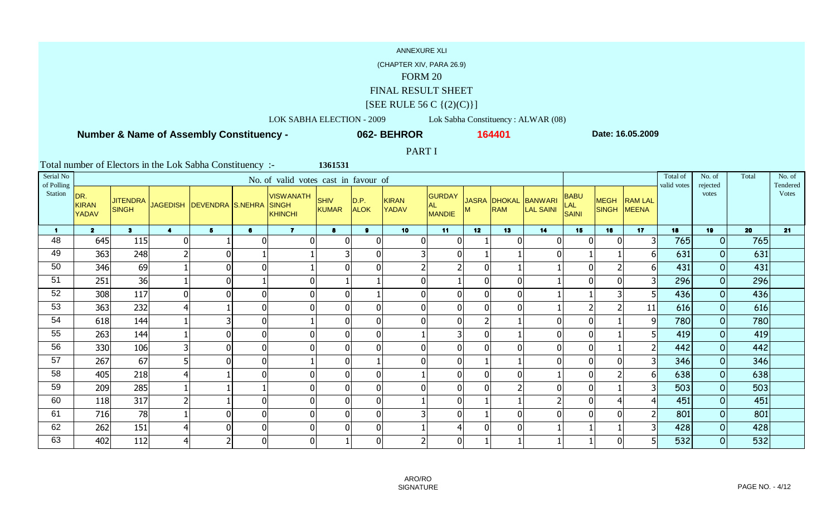## FINAL RESULT SHEET

# $[SEE$  RULE 56 C  $\{(2)(C)\}]$

LOK SABHA ELECTION - 2009 Lok Sabha Constituency : ALWAR (08) **062- BEHROR**

 **Number & Name of Assembly Constituency -**

**<sup>164401</sup> Date: 16.05.2009**

PART I

| Serial No<br>of Polling |                                     |                                 |                |                           |                | No. of valid votes cast in favour of               |                             |                     |                       |                                       |                 |            |                                          |                      |                             |                         | Total of<br>valid votes | No. of<br>rejected | Total | No. of<br>Tendered |
|-------------------------|-------------------------------------|---------------------------------|----------------|---------------------------|----------------|----------------------------------------------------|-----------------------------|---------------------|-----------------------|---------------------------------------|-----------------|------------|------------------------------------------|----------------------|-----------------------------|-------------------------|-------------------------|--------------------|-------|--------------------|
| Station                 | DR.<br><b>KIRAN</b><br><b>YADAV</b> | <b>JITENDRA</b><br><b>SINGH</b> |                | JAGEDISH DEVENDRA S.NEHRA |                | <b>VISWANATH</b><br><b>SINGH</b><br><b>KHINCHI</b> | <b>SHIV</b><br><b>KUMAR</b> | D.P.<br><b>ALOK</b> | <b>KIRAN</b><br>YADAV | <b>GURDAY</b><br>AL.<br><b>MANDIE</b> | м               | <b>RAM</b> | JASRA DHOKAL BANWARI<br><b>LAL SAINI</b> | BABU<br>LAL<br>SAINI | <b>MEGH</b><br><b>SINGH</b> | <b>RAM LAL</b><br>MEENA |                         | votes              |       | <b>Votes</b>       |
|                         | $\overline{2}$                      | 3 <sup>1</sup>                  | $\overline{4}$ | 5                         | 6              | $\overline{7}$                                     | 8                           | $\mathbf{9}$        | 10                    | 11                                    | 12 <sub>2</sub> | 13         | 14                                       | 15                   | 16                          | 17                      | 18                      | 19                 | 20    | 21                 |
| 48                      | 645                                 | 115                             | 0              |                           |                | $\Omega$                                           | $\Omega$                    | $\overline{0}$      |                       | $\overline{0}$<br>$\overline{0}$      |                 |            | $\mathbf 0$                              | $\Omega$             | $\mathbf 0$                 |                         | 765                     | 0                  | 765   |                    |
| 49                      | 363                                 | 248                             | $\overline{2}$ | $\mathbf{0}$              |                |                                                    |                             | $\overline{0}$      |                       | 3<br>$\overline{0}$                   |                 |            | $\Omega$                                 |                      |                             |                         | 631                     | 0                  | 631   |                    |
| 50                      | 346                                 | 69                              |                | $\mathbf{0}$              | $\Omega$       |                                                    | $\mathbf{0}$                | $\mathbf{0}$        |                       |                                       | $\mathbf 0$     |            |                                          | $\Omega$             |                             |                         | 431                     | $\overline{O}$     | 431   |                    |
| 51                      | 251                                 | 36                              |                | $\overline{0}$            |                | $\overline{0}$                                     |                             |                     |                       | $\overline{0}$                        | $\overline{0}$  |            |                                          | $\overline{0}$       | $\mathbf{0}$                | 3 <sup>1</sup>          | 296                     | 0                  | 296   |                    |
| 52                      | 308                                 | 117                             | $\overline{0}$ | $\mathbf 0$               | $\mathbf 0$    | $\overline{0}$                                     | $\mathbf 0$                 |                     |                       | $\overline{0}$<br>$\overline{0}$      | $\mathbf 0$     |            |                                          |                      | 3                           |                         | 436                     | 0                  | 436   |                    |
| 53                      | 363                                 | 232                             | $\overline{4}$ |                           | $\mathbf 0$    | 0                                                  | $\mathbf 0$                 | $\overline{0}$      |                       | $\overline{0}$<br>$\overline{0}$      | $\mathbf{0}$    |            |                                          |                      | $\overline{2}$              | 11                      | 616                     | 0                  | 616   |                    |
| 54                      | 618                                 | 144                             |                | 3                         | $\mathbf 0$    |                                                    | $\mathbf 0$                 | $\overline{0}$      |                       | $\overline{0}$<br>$\overline{0}$      |                 |            | $\overline{0}$                           | 0                    |                             |                         | 780                     | 0                  | 780   |                    |
| 55                      | 263                                 | 144                             |                | $\mathbf 0$               | 0              | 0                                                  | $\mathbf{0}$                | $\overline{0}$      |                       | 3                                     | $\mathbf{0}$    |            | $\overline{0}$                           | 0                    |                             |                         | 419                     | $\overline{O}$     | 419   |                    |
| 56                      | 330                                 | 106                             | 3              | $\overline{0}$            | $\mathbf 0$    | $\mathbf{0}$                                       | $\mathbf 0$                 | $\overline{0}$      |                       | $\Omega$<br>0                         | $\mathbf{0}$    |            | $\mathbf 0$                              | $\Omega$             |                             |                         | 442                     | 0                  | 442   |                    |
| 57                      | 267                                 | 67                              | 5              | $\mathbf 0$               | 0              |                                                    | $\mathbf 0$                 |                     |                       | $\overline{0}$<br>$\overline{0}$      |                 |            | $\overline{0}$                           | 0                    | $\mathbf 0$                 |                         | 346                     | 0                  | 346   |                    |
| 58                      | 405                                 | 218                             | 4              |                           | $\overline{0}$ | $\mathbf{0}$                                       | $\mathbf{0}$                | $\overline{0}$      |                       | $\Omega$                              | $\mathbf{0}$    |            |                                          | $\Omega$             |                             |                         | 638                     | 0                  | 638   |                    |
| 59                      | 209                                 | 285                             |                |                           |                | $\mathbf{0}$                                       | $\overline{0}$              | $\overline{0}$      |                       | $\overline{0}$<br>$\Omega$            | $\mathbf{0}$    |            | $\overline{0}$                           | $\mathbf 0$          |                             |                         | 503                     | 0                  | 503   |                    |
| 60                      | 118                                 | 317                             | $\overline{2}$ |                           | $\Omega$       | 0                                                  | $\overline{0}$              | $\overline{0}$      |                       | $\overline{0}$                        |                 |            | $\overline{\phantom{a}}$                 | 0                    | 4                           |                         | 451                     | 0                  | 451   |                    |
| 61                      | 716                                 | 78                              |                | $\mathbf 0$               | $\mathbf 0$    | $\overline{0}$                                     | $\mathbf 0$                 | $\overline{0}$      |                       | 3<br>$\overline{0}$                   |                 |            | $\mathbf 0$                              | $\overline{0}$       | $\overline{0}$              |                         | 801                     | 0                  | 801   |                    |
| 62                      | 262                                 | 151                             | 4              | $\mathbf 0$               | 0              | 0                                                  | $\mathbf 0$                 | $\overline{0}$      |                       | 4                                     | $\mathbf 0$     |            |                                          |                      |                             |                         | 428                     | 0                  | 428   |                    |
| 63                      | 402                                 | 112                             | 4              | $\overline{2}$            | $\mathbf 0$    | 0                                                  |                             | $\overline{0}$      |                       | $\overline{2}$<br>$\overline{0}$      |                 |            |                                          |                      | $\mathbf{0}$                |                         | 532                     | 0                  | 532   |                    |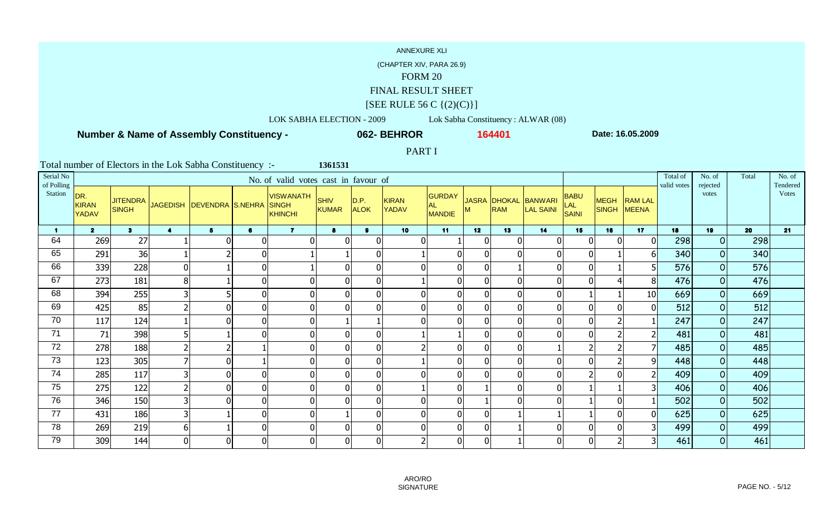## FINAL RESULT SHEET

# $[SEE$  RULE 56 C  $\{(2)(C)\}]$

LOK SABHA ELECTION - 2009 Lok Sabha Constituency : ALWAR (08)

**062- BEHROR**

 **Number & Name of Assembly Constituency -**

**<sup>164401</sup> Date: 16.05.2009**

PART I

| Serial No<br>of Polling |                                     |                                 |                         |                           |              | No. of valid votes cast in favour of               |                             |                     |                       |                                       |                 |            |                                          |                      |                             |                         | Total of<br>valid votes | No. of<br>rejected | Total | No. of<br>Tendered |
|-------------------------|-------------------------------------|---------------------------------|-------------------------|---------------------------|--------------|----------------------------------------------------|-----------------------------|---------------------|-----------------------|---------------------------------------|-----------------|------------|------------------------------------------|----------------------|-----------------------------|-------------------------|-------------------------|--------------------|-------|--------------------|
| Station                 | DR.<br><b>KIRAN</b><br><b>YADAV</b> | <b>JITENDRA</b><br><b>SINGH</b> |                         | JAGEDISH DEVENDRA S.NEHRA |              | <b>VISWANATH</b><br><b>SINGH</b><br><b>KHINCHI</b> | <b>SHIV</b><br><b>KUMAR</b> | D.P.<br><b>ALOK</b> | <b>KIRAN</b><br>YADAV | <b>GURDAY</b><br>AL.<br><b>MANDIE</b> | м               | <b>RAM</b> | JASRA DHOKAL BANWARI<br><b>LAL SAINI</b> | BABU<br>LAL<br>SAINI | <b>MEGH</b><br><b>SINGH</b> | <b>RAM LAL</b><br>MEENA |                         | votes              |       | <b>Votes</b>       |
|                         | $\overline{2}$                      | 3 <sup>1</sup>                  | $\overline{\mathbf{4}}$ | 5                         | 6            | $\overline{7}$                                     | 8                           | $\mathbf{9}$        | 10 <sup>°</sup>       | 11                                    | 12 <sub>2</sub> | 13         | 14                                       | 15                   | 16                          | 17                      | 18                      | 19                 | 20    | 21                 |
| 64                      | 269                                 | 27                              |                         | $\mathbf 0$               |              | $\Omega$                                           | $\Omega$                    | $\overline{0}$      |                       | $\overline{0}$                        | $\mathbf 0$     |            | $\mathbf 0$                              | $\Omega$             | $\mathbf 0$                 |                         | 298                     | 0                  | 298   |                    |
| 65                      | 291                                 | 36                              |                         |                           | $\Omega$     |                                                    |                             | $\overline{0}$      |                       | $\overline{0}$                        | $\mathbf{0}$    |            | $\mathbf{0}$                             | $\Omega$             |                             |                         | 340                     | 0                  | 340   |                    |
| 66                      | 339                                 | 228                             | $\overline{0}$          |                           | $\mathbf{0}$ |                                                    | $\mathbf{0}$                | $\overline{0}$      |                       | 0<br>$\Omega$                         | $\mathbf 0$     |            | $\overline{0}$                           | 0                    |                             |                         | 576                     | 0                  | 576   |                    |
| 67                      | 273                                 | 181                             | 8 <sup>1</sup>          |                           | $\mathbf{0}$ | $\overline{0}$                                     | $\overline{0}$              | $\overline{0}$      |                       | $\overline{0}$                        | $\overline{0}$  |            | $\mathbf{0}$                             | $\overline{0}$       | 4                           | 8                       | 476                     | 0                  | 476   |                    |
| 68                      | 394                                 | 255                             | 3                       | 5                         | 0            | $\overline{0}$                                     | $\mathbf 0$                 | $\overline{0}$      |                       | $\overline{0}$<br>$\overline{0}$      | $\mathbf 0$     |            | $\boldsymbol{0}$                         |                      |                             | 10                      | 669                     | 0                  | 669   |                    |
| 69                      | 425                                 | 85                              | $\overline{2}$          | $\mathbf{0}$              | $\mathbf 0$  | 0                                                  | $\mathbf{0}$                | $\overline{0}$      |                       | $\overline{0}$<br>$\overline{0}$      | $\mathbf{0}$    |            | $\mathbf 0$                              | 0                    | $\mathbf{0}$                |                         | 512                     | 0                  | 512   |                    |
| 70                      | 117                                 | 124                             |                         | $\mathbf{0}$              | $\mathbf 0$  | 0                                                  |                             |                     |                       | $\overline{0}$<br>$\overline{0}$      | $\mathbf 0$     |            | $\mathbf{0}$                             | $\overline{0}$       |                             |                         | 247                     | 0                  | 247   |                    |
| 71                      | 71                                  | 398                             | 5                       |                           | 0            | 0                                                  | $\mathbf 0$                 | $\overline{0}$      |                       |                                       | $\mathbf{0}$    |            | $\mathbf{0}$                             | 0                    |                             |                         | 481                     | $\overline{O}$     | 481   |                    |
| 72                      | 278                                 | 188                             | $\overline{2}$          |                           |              | $\mathbf{0}$                                       | $\overline{0}$              | $\overline{0}$      |                       | $\Omega$                              | $\mathbf{0}$    |            |                                          |                      |                             |                         | 485                     | $\overline{O}$     | 485   |                    |
| 73                      | 123                                 | 305                             | 7                       | $\mathbf 0$               |              | 0                                                  | $\mathbf 0$                 | $\overline{0}$      |                       | $\overline{0}$                        | $\mathbf 0$     |            | $\overline{0}$                           | $\mathbf 0$          | $\overline{2}$              |                         | 448                     | 0                  | 448   |                    |
| 74                      | 285                                 | 117                             | 3                       | $\mathbf{0}$              | $\Omega$     | $\Omega$                                           | $\mathbf 0$                 | $\overline{0}$      |                       | 0<br>$\Omega$                         | $\mathbf{0}$    |            | $\Omega$                                 |                      | $\overline{0}$              |                         | 409                     | 0                  | 409   |                    |
| 75                      | 275                                 | 122                             | $\overline{2}$          | $\mathbf{0}$              | $\mathbf{0}$ | $\mathbf{0}$                                       | $\mathbf{0}$                | $\overline{0}$      |                       | $\overline{0}$                        |                 |            | $\overline{0}$                           |                      |                             |                         | 406                     | $\overline{O}$     | 406   |                    |
| 76                      | 346                                 | 150                             | $\overline{\mathsf{3}}$ | $\mathbf{0}$              | $\Omega$     | 0                                                  | $\mathbf{0}$                | $\overline{0}$      |                       | 01<br>$\overline{0}$                  |                 |            | $\Omega$                                 |                      | $\mathbf{0}$                |                         | 502                     | 0                  | 502   |                    |
| 77                      | 431                                 | 186                             | $\overline{\mathsf{3}}$ |                           | 0            | $\overline{0}$                                     |                             | $\overline{0}$      |                       | $\overline{0}$<br>$\overline{0}$      | $\mathbf 0$     |            |                                          |                      | $\overline{0}$              |                         | 625                     | 0                  | 625   |                    |
| 78                      | 269                                 | 219                             | $6 \mid$                |                           | 0            | 0                                                  | $\mathbf 0$                 | $\overline{0}$      |                       | 0 <br>$\overline{0}$                  | $\mathbf 0$     |            | $\mathbf 0$                              | 0                    | $\overline{0}$              |                         | 499                     | 0                  | 499   |                    |
| 79                      | 309                                 | 144                             | $\overline{0}$          | $\overline{0}$            | $\mathbf 0$  | $\overline{0}$                                     | $\overline{0}$              | $\overline{0}$      |                       | $\overline{2}$<br>$\overline{0}$      | $\mathbf 0$     |            | $\mathbf 0$                              | $\overline{0}$       | $\overline{2}$              |                         | 461                     | $\overline{O}$     | 461   |                    |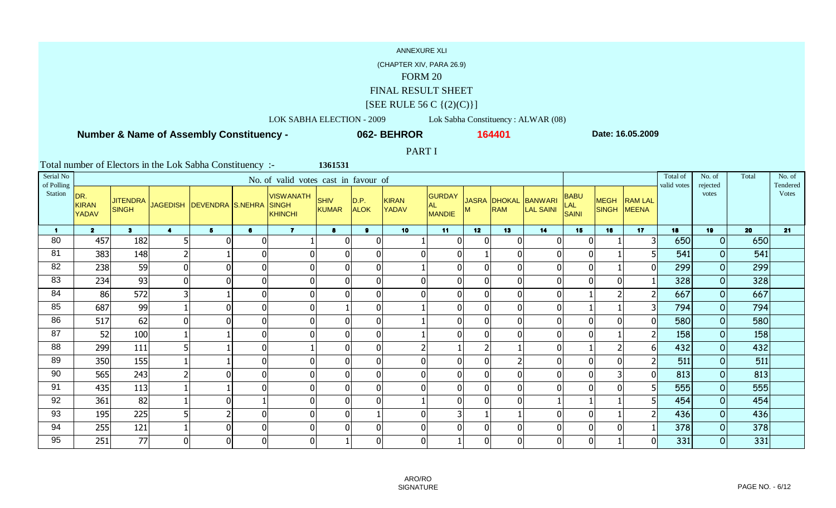## FINAL RESULT SHEET

# $[SEE$  RULE 56 C  $\{(2)(C)\}]$

LOK SABHA ELECTION - 2009 Lok Sabha Constituency : ALWAR (08)

 **Number & Name of Assembly Constituency -**

**062- BEHROR**

**<sup>164401</sup> Date: 16.05.2009**

PART I

| Serial No<br>of Polling |                                     |                                 |                         |                           |                | No. of valid votes cast in favour of               |                             |                     |                       |                                       |                 |            |                                          |                      |                             |                         | Total of<br>valid votes | No. of<br>rejected | Total | No. of<br>Tendered |
|-------------------------|-------------------------------------|---------------------------------|-------------------------|---------------------------|----------------|----------------------------------------------------|-----------------------------|---------------------|-----------------------|---------------------------------------|-----------------|------------|------------------------------------------|----------------------|-----------------------------|-------------------------|-------------------------|--------------------|-------|--------------------|
| Station                 | DR.<br><b>KIRAN</b><br><b>YADAV</b> | <b>JITENDRA</b><br><b>SINGH</b> |                         | JAGEDISH DEVENDRA S.NEHRA |                | <b>VISWANATH</b><br><b>SINGH</b><br><b>KHINCHI</b> | <b>SHIV</b><br><b>KUMAR</b> | D.P.<br><b>ALOK</b> | <b>KIRAN</b><br>YADAV | <b>GURDAY</b><br>AL.<br><b>MANDIE</b> | м               | <b>RAM</b> | JASRA DHOKAL BANWARI<br><b>LAL SAINI</b> | BABU<br>LAL<br>SAINI | <b>MEGH</b><br><b>SINGH</b> | <b>RAM LAL</b><br>MEENA |                         | votes              |       | <b>Votes</b>       |
|                         | $\overline{2}$                      | 3 <sup>1</sup>                  | $\overline{\mathbf{4}}$ | 5                         | 6              | $\overline{7}$                                     | 8                           | $\mathbf{9}$        | 10                    | 11                                    | 12 <sub>2</sub> | 13         | 14                                       | 15                   | 16                          | 17                      | 18                      | 19                 | 20    | 21                 |
| 80                      | 457                                 | 182                             | 5                       | $\mathbf 0$               |                |                                                    | $\mathbf 0$                 | $\overline{0}$      |                       | 0                                     | $\Omega$        |            | 0                                        | $\Omega$             |                             |                         | 650                     | 0                  | 650   |                    |
| 81                      | 383                                 | 148                             | $\overline{2}$          |                           | $\Omega$       | $\overline{0}$                                     | $\mathbf 0$                 | $\overline{0}$      | 0                     | $\overline{0}$                        |                 |            | $\mathbf{0}$                             | $\Omega$             |                             |                         | 541                     | 0                  | 541   |                    |
| 82                      | 238                                 | 59                              | $\overline{0}$          | $\mathbf{0}$              | $\mathbf{0}$   | $\Omega$                                           | $\mathbf{0}$                | $\overline{0}$      |                       | $\Omega$                              | $\mathbf{0}$    |            | $\overline{0}$                           | $\Omega$             |                             |                         | 299                     | 0                  | 299   |                    |
| 83                      | 234                                 | 93                              | $\overline{0}$          | $\overline{0}$            | $\mathbf{0}$   | $\overline{0}$                                     | $\overline{0}$              | $\overline{0}$      |                       | $\overline{0}$<br>$\overline{0}$      | $\overline{0}$  |            | $\mathbf{0}$                             | $\overline{0}$       | $\mathbf{0}$                |                         | 328                     | 0                  | 328   |                    |
| 84                      | 86                                  | 572                             | 3                       |                           | 0              | $\overline{0}$                                     | $\mathbf 0$                 | $\overline{0}$      |                       | $\overline{0}$<br>$\overline{0}$      | $\mathbf 0$     |            | $\boldsymbol{0}$                         |                      |                             |                         | 667                     | 0                  | 667   |                    |
| 85                      | 687                                 | 99                              |                         | $\mathbf{0}$              | $\mathbf 0$    | 0                                                  |                             | $\overline{0}$      |                       | $\overline{0}$                        | $\mathbf{0}$    |            | $\mathbf 0$                              |                      |                             |                         | 794                     | 0                  | 794   |                    |
| 86                      | 517                                 | 62                              | $\overline{0}$          | $\mathbf{0}$              | $\mathbf 0$    | 0                                                  | $\mathbf 0$                 | $\overline{0}$      |                       | $\overline{0}$                        | $\mathbf 0$     |            | $\mathbf{0}$                             | $\overline{0}$       | $\mathbf{0}$                |                         | 580                     | 0                  | 580   |                    |
| 87                      | 52                                  | 100                             |                         |                           | 0              | $\Omega$                                           | $\mathbf 0$                 | $\overline{0}$      |                       | 0                                     | $\mathbf 0$     |            | $\mathbf 0$                              | 0                    |                             |                         | 158                     | $\overline{O}$     | 158   |                    |
| 88                      | 299                                 | 111                             | 5                       |                           | 0              |                                                    | $\overline{0}$              | $\overline{0}$      |                       |                                       |                 |            | $\overline{0}$                           |                      |                             |                         | 432                     | $\overline{O}$     | 432   |                    |
| 89                      | 350                                 | 155                             |                         |                           | 0              | 0                                                  | $\mathbf 0$                 | $\overline{0}$      |                       | $\Omega$<br>$\overline{0}$            | $\mathbf 0$     |            | $\mathbf 0$                              | $\mathbf 0$          | $\mathbf 0$                 |                         | 511                     | 0                  | 511   |                    |
| 90                      | 565                                 | 243                             | $\overline{2}$          | $\overline{0}$            | $\overline{0}$ | $\Omega$                                           | $\mathbf 0$                 | $\overline{0}$      | 0                     | $\Omega$                              | $\mathbf{0}$    |            | $\Omega$                                 | $\Omega$             | 3                           |                         | 813                     | $\overline{O}$     | 813   |                    |
| 91                      | 435                                 | 113                             |                         |                           | $\overline{0}$ | $\mathbf{0}$                                       | $\overline{0}$              | $\overline{0}$      |                       | $\overline{0}$<br>$\Omega$            | $\mathbf{0}$    |            | $\Omega$                                 | $\mathbf 0$          | $\overline{0}$              |                         | 555                     | 0                  | 555   |                    |
| 92                      | 361                                 | 82                              |                         | $\mathbf 0$               |                | $\Omega$                                           | $\mathbf{0}$                | $\overline{0}$      |                       | $\Omega$                              | $\mathbf{0}$    |            |                                          |                      |                             |                         | 454                     | 0                  | 454   |                    |
| 93                      | 195                                 | 225                             | $5\vert$                | $\overline{2}$            | 0              | $\overline{0}$                                     | $\overline{0}$              |                     |                       | $\overline{0}$<br>3                   |                 |            | $\mathbf 0$                              | $\mathbf 0$          |                             |                         | 436                     | 0                  | 436   |                    |
| 94                      | 255                                 | 121                             |                         | $\mathbf 0$               | 0              | 0                                                  | $\mathbf 0$                 | 0                   |                       | 0 <br>$\overline{0}$                  | $\mathbf 0$     |            | $\mathbf 0$                              | 0                    | $\overline{0}$              |                         | 378                     | 0                  | 378   |                    |
| 95                      | 251                                 | 77                              | $\overline{0}$          | $\overline{0}$            | $\mathbf 0$    | 0                                                  |                             | $\overline{0}$      |                       | $\overline{0}$                        | $\mathbf 0$     |            | $\mathbf 0$                              | $\overline{0}$       |                             |                         | 331                     | $\overline{O}$     | 331   |                    |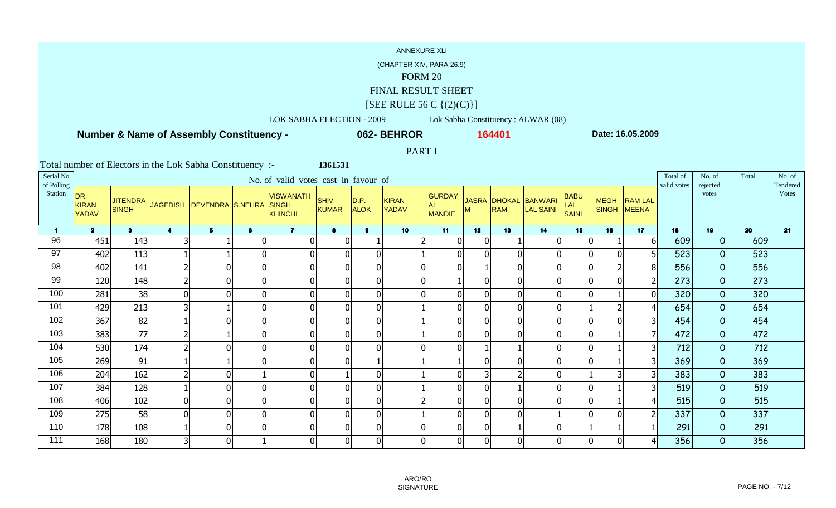## FINAL RESULT SHEET

# $[SEE$  RULE 56 C  $\{(2)(C)\}]$

LOK SABHA ELECTION - 2009 Lok Sabha Constituency : ALWAR (08)

 **Number & Name of Assembly Constituency -**

**062- BEHROR**

**<sup>164401</sup> Date: 16.05.2009**

PART I

| Serial No<br>of Polling |                              |                                 |                |                           |                | No. of valid votes cast in favour of        |                             |                     |                              |                                       |                 |            |                                          |                                           |                             |                                | Total of<br>valid votes | No. of<br>rejected | Total | No. of<br>Tendered |
|-------------------------|------------------------------|---------------------------------|----------------|---------------------------|----------------|---------------------------------------------|-----------------------------|---------------------|------------------------------|---------------------------------------|-----------------|------------|------------------------------------------|-------------------------------------------|-----------------------------|--------------------------------|-------------------------|--------------------|-------|--------------------|
| Station                 | DR.<br><b>KIRAN</b><br>YADAV | <b>JITENDRA</b><br><b>SINGH</b> |                | JAGEDISH DEVENDRA S.NEHRA |                | <b>VISWANATH</b><br><b>SINGH</b><br>KHINCHI | <b>SHIV</b><br><b>KUMAR</b> | D.P.<br><b>ALOK</b> | <b>KIRAN</b><br><b>YADAV</b> | <b>GURDAY</b><br>AL.<br><b>MANDIE</b> |                 | <b>RAM</b> | JASRA DHOKAL BANWARI<br><b>LAL SAINI</b> | <b>BABU</b><br><b>LAL</b><br><b>SAINI</b> | <b>MEGH</b><br><b>SINGH</b> | <b>RAM LAL</b><br><b>MEENA</b> |                         | votes              |       | <b>Votes</b>       |
| $\blacksquare$          | 2 <sup>1</sup>               | 3 <sup>1</sup>                  | $\overline{4}$ | 5 <sub>1</sub>            | 6              | $\overline{7}$                              | 8                           | 9 <sup>1</sup>      | 10                           | 11                                    | 12 <sub>2</sub> | 13         | 14                                       | 15                                        | 16                          | 17                             | 18                      | 19                 | 20    | 21                 |
| 96                      | 451                          | 143                             | 3              |                           | $\overline{0}$ | $\Omega$                                    |                             |                     |                              |                                       |                 |            | 0                                        |                                           |                             | 61                             | 609                     | $\overline{0}$     | 609   |                    |
| 97                      | 402                          | 113                             |                |                           | $\overline{0}$ | $\Omega$                                    | 0                           | $\mathbf 0$         |                              | ΩI                                    |                 |            | $\mathbf{0}$                             |                                           | $\overline{0}$              |                                | 523                     | 0                  | 523   |                    |
| 98                      | 402                          | 141                             | $\overline{2}$ | $\Omega$                  | $\overline{0}$ | $\mathbf 0$                                 | $\Omega$                    | $\mathbf 0$         |                              | 0                                     |                 |            | $\mathbf{0}$                             |                                           |                             | 8 <sup>1</sup>                 | 556                     | 0                  | 556   |                    |
| 99                      | 120                          | 148                             | $\overline{2}$ | $\mathbf{0}$              | 0              | $\mathbf 0$                                 | $\Omega$                    | $\overline{0}$      |                              |                                       | $\Omega$        |            | $\overline{0}$                           | $\Omega$                                  | 0                           |                                | 273                     | $\overline{O}$     | 273   |                    |
| 100                     | 281                          | 38                              | $\overline{0}$ | $\mathbf 0$               | 0              | $\boldsymbol{0}$                            | $\mathbf 0$                 | $\mathbf 0$         |                              | ΩI                                    | $\Omega$        |            | $\mathbf 0$                              | 01                                        |                             | 0                              | 320                     | $\overline{O}$     | 320   |                    |
| 101                     | 429                          | 213                             | 3              |                           | $\overline{0}$ | 0                                           | $\Omega$                    | $\mathbf 0$         |                              | ΩI                                    | $\Omega$        |            | $\mathbf{0}$                             |                                           |                             |                                | 654                     | 0                  | 654   |                    |
| 102                     | 367                          | 82                              |                | 0                         | 0              | $\mathbf 0$                                 | $\Omega$                    | $\mathbf 0$         |                              | ΩI                                    | $\Omega$        |            | $\mathbf{0}$                             | $\Omega$                                  | $\overline{0}$              | 3 <sup>1</sup>                 | 454                     | $\overline{O}$     | 454   |                    |
| 103                     | 383                          | 77                              | $\overline{2}$ |                           | $\overline{0}$ | $\mathbf 0$                                 | $\Omega$                    | $\mathbf 0$         |                              | U                                     |                 |            | $\mathbf{0}$                             | $\Omega$                                  |                             |                                | 472                     | $\overline{O}$     | 472   |                    |
| 104                     | 530                          | 174                             | $\overline{2}$ | $\Omega$                  | 0              | $\mathbf 0$                                 | $\Omega$                    | $\mathbf 0$         |                              | U                                     |                 |            | $\mathbf{0}$                             | ΩI                                        |                             | 3 <sup>1</sup>                 | 712                     | $\overline{O}$     | 712   |                    |
| 105                     | 269                          | 91                              |                |                           | $\overline{0}$ | $\mathbf 0$                                 | $\Omega$                    |                     |                              |                                       |                 |            | $\mathbf 0$                              |                                           |                             | 3 <sup>1</sup>                 | 369                     | $\overline{O}$     | 369   |                    |
| 106                     | 204                          | 162                             |                | 0                         |                | $\mathbf 0$                                 |                             | $\overline{0}$      |                              | 0                                     |                 |            | $\overline{0}$                           |                                           | 3                           |                                | 383                     | $\overline{O}$     | 383   |                    |
| 107                     | 384                          | 128                             |                | $\Omega$                  | $\overline{0}$ | $\mathbf 0$                                 | $\mathbf 0$                 | $\mathbf 0$         |                              | ΩI                                    |                 |            | $\mathbf{0}$                             | $\Omega$                                  |                             | 3 <sup>1</sup>                 | 519                     | $\overline{O}$     | 519   |                    |
| 108                     | 406                          | 102                             | $\overline{0}$ | $\mathbf 0$               | $\overline{0}$ | $\boldsymbol{0}$                            | $\Omega$                    | $\mathbf 0$         |                              | ΩI                                    | $\Omega$        |            | $\mathbf{0}$                             | $\Omega$                                  |                             |                                | 515                     | $\overline{O}$     | 515   |                    |
| 109                     | 275                          | 58                              | $\overline{0}$ | $\mathbf 0$               | 0              | $\boldsymbol{0}$                            | $\mathbf 0$                 | $\mathbf 0$         |                              | ΩI                                    | $\Omega$        |            |                                          | $\Omega$                                  | 0                           |                                | 337                     | $\overline{O}$     | 337   |                    |
| 110                     | 178                          | 108                             |                | $\mathbf 0$               | 0              | $\mathbf 0$                                 | $\Omega$                    | $\mathbf 0$         |                              | 0                                     | $\Omega$        |            | $\mathbf 0$                              |                                           |                             |                                | 291                     | $\overline{O}$     | 291   |                    |
| 111                     | 168                          | 180                             | $\overline{3}$ | $\Omega$                  |                | $\mathbf 0$                                 | $\Omega$                    | $\overline{0}$      |                              | 01                                    | $\Omega$        |            | $\mathbf 0$                              | $\overline{0}$                            | $\overline{0}$              |                                | 356                     | $\overline{O}$     | 356   |                    |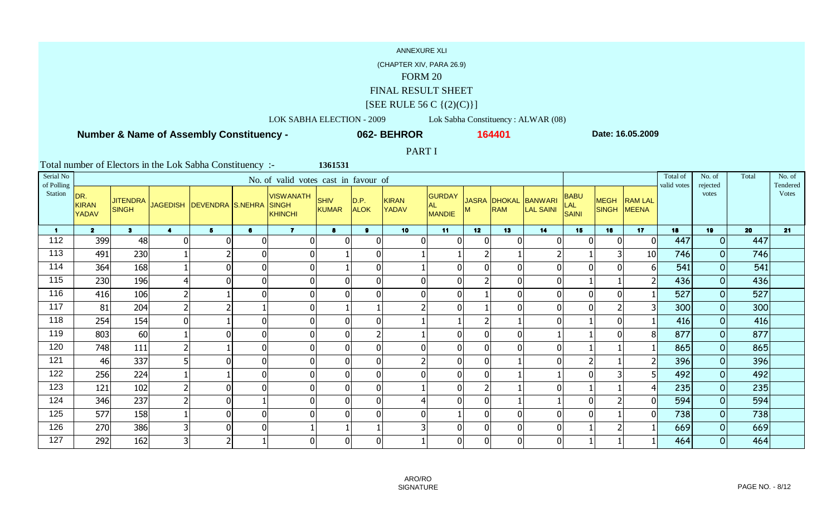## FINAL RESULT SHEET

# $[SEE$  RULE 56 C  $\{(2)(C)\}]$

LOK SABHA ELECTION - 2009 Lok Sabha Constituency : ALWAR (08)

**062- BEHROR**

 **Number & Name of Assembly Constituency -**

**<sup>164401</sup> Date: 16.05.2009**

PART I

| Serial No<br>of Polling |                              |                                 |                         |                           |                | No. of valid votes cast in favour of        |                      |                     |                              |                                       |                          |            |                                          |                                    |                             |                                | Total of<br>valid votes | No. of<br>rejected | Total | No. of<br>Tendered |
|-------------------------|------------------------------|---------------------------------|-------------------------|---------------------------|----------------|---------------------------------------------|----------------------|---------------------|------------------------------|---------------------------------------|--------------------------|------------|------------------------------------------|------------------------------------|-----------------------------|--------------------------------|-------------------------|--------------------|-------|--------------------|
| Station                 | DR.<br><b>KIRAN</b><br>YADAV | <b>JITENDRA</b><br><b>SINGH</b> |                         | JAGEDISH DEVENDRA S.NEHRA |                | <b>VISWANATH</b><br><b>SINGH</b><br>KHINCHI | <b>SHIV</b><br>KUMAR | D.P.<br><b>ALOK</b> | <b>KIRAN</b><br><b>YADAV</b> | <b>GURDAY</b><br>AL.<br><b>MANDIE</b> |                          | <b>RAM</b> | JASRA DHOKAL BANWARI<br><b>LAL SAINI</b> | <b>BABU</b><br>LAL<br><b>SAINI</b> | <b>MEGH</b><br><b>SINGH</b> | <b>RAM LAL</b><br><b>MEENA</b> |                         | votes              |       | <b>Votes</b>       |
| $\blacksquare$          | 2 <sup>1</sup>               | 3 <sup>1</sup>                  | $\overline{\mathbf{4}}$ | 5 <sub>1</sub>            | 6              | $\overline{7}$                              | $\bullet$            | $\mathbf{9}$        | 10                           | 11                                    | 12 <sub>2</sub>          | 13         | 14                                       | 15                                 | 16                          | 17                             | 18                      | 19                 | 20    | 21                 |
| 112                     | 399                          | 48                              | 0                       | $\Omega$                  | $\mathbf 0$    | 0                                           |                      | 0                   |                              |                                       |                          |            | $\Omega$                                 | $\Omega$                           | 0                           | $\overline{0}$                 | 447                     | 0                  | 447   |                    |
| 113                     | 491                          | 230                             |                         | $\overline{2}$            | $\mathbf 0$    | $\mathbf 0$                                 |                      | $\overline{0}$      |                              |                                       | $\overline{\mathcal{L}}$ |            |                                          |                                    | 31                          | 10                             | 746                     | 0                  | 746   |                    |
| 114                     | 364                          | 168                             |                         | $\mathbf 0$               | $\overline{0}$ | $\mathbf 0$                                 |                      | $\mathbf 0$         |                              |                                       | $\mathbf 0$              |            | $\Omega$                                 | $\Omega$                           |                             | .61                            | 541                     | 0                  | 541   |                    |
| 115                     | 230                          | 196                             | 4                       | $\mathbf{0}$              | $\overline{0}$ | $\mathbf 0$                                 | $\Omega$             | $\mathbf{0}$        |                              |                                       | $\overline{2}$           |            | $\Omega$                                 |                                    |                             |                                | 436                     | 0                  | 436   |                    |
| 116                     | 416                          | 106                             | $\overline{c}$          |                           | 0              | $\mathbf 0$                                 | 0                    | $\mathbf 0$         |                              |                                       |                          |            | $\mathbf 0$                              | 0                                  | 0                           |                                | 527                     | 0                  | 527   |                    |
| 117                     | 81                           | 204                             | $\overline{2}$          |                           |                | $\mathbf 0$                                 |                      |                     |                              |                                       |                          |            | $\mathbf{0}$                             | $\mathbf 0$                        | $\overline{2}$              |                                | 300                     | 0                  | 300   |                    |
| 118                     | 254                          | 154                             | $\overline{0}$          |                           | $\overline{0}$ | $\mathbf 0$                                 | 0                    | $\mathbf 0$         |                              |                                       |                          |            | $\Omega$                                 |                                    | 0                           |                                | 416                     | $\overline{O}$     | 416   |                    |
| 119                     | 803                          | 60                              |                         | $\mathbf 0$               | $\overline{0}$ | $\mathbf 0$                                 |                      |                     |                              |                                       | $\Omega$                 |            |                                          |                                    | $\Omega$                    | 8                              | 877                     | 0                  | 877   |                    |
| 120                     | 748                          | 111                             | $\overline{2}$          |                           | $\overline{0}$ | $\mathbf 0$                                 | 0                    | $\overline{0}$      |                              |                                       |                          |            | $\overline{0}$                           |                                    |                             |                                | 865                     | 0                  | 865   |                    |
| 121                     | 46                           | 337                             | 5                       | $\Omega$                  | $\overline{0}$ | 0                                           |                      | $\overline{0}$      |                              |                                       | $\Omega$                 |            | $\Omega$                                 |                                    |                             |                                | 396                     | 0                  | 396   |                    |
| 122                     | 256                          | 224                             |                         |                           | $\overline{0}$ | $\mathbf 0$                                 |                      | $\overline{0}$      |                              |                                       | $\mathbf 0$              |            |                                          | $\mathbf{0}$                       |                             |                                | 492                     | 0                  | 492   |                    |
| 123                     | 121                          | 102                             | $\overline{2}$          | $\mathbf 0$               | $\overline{0}$ | $\mathbf 0$                                 | 0                    | $\mathbf{0}$        |                              |                                       | $\overline{2}$           |            | $\Omega$                                 |                                    |                             |                                | 235                     | 0                  | 235   |                    |
| 124                     | 346                          | 237                             | 2                       | $\Omega$                  |                | $\mathbf 0$                                 | 0                    | $\mathbf 0$         |                              |                                       | $\Omega$                 |            |                                          | $\Omega$                           |                             | ΩI                             | 594                     | 0                  | 594   |                    |
| 125                     | 577                          | 158                             |                         | $\mathbf 0$               | $\overline{0}$ | 0                                           | 0                    | $\mathbf{0}$        |                              |                                       | $\Omega$                 | ∩          | $\mathbf{0}$                             | $\mathbf 0$                        |                             | 0                              | 738                     | 0                  | 738   |                    |
| 126                     | 270                          | 386                             | 3                       | $\mathbf 0$               | $\overline{0}$ |                                             |                      |                     | 3                            |                                       | $\mathbf 0$              |            | $\Omega$                                 |                                    |                             |                                | 669                     | 0                  | 669   |                    |
| 127                     | 292                          | 162                             | $\overline{3}$          | $\overline{2}$            |                | $\overline{0}$                              | $\Omega$             | $\mathbf 0$         |                              | 0                                     | $\Omega$                 |            | $\overline{0}$                           |                                    |                             |                                | 464                     | $\overline{O}$     | 464   |                    |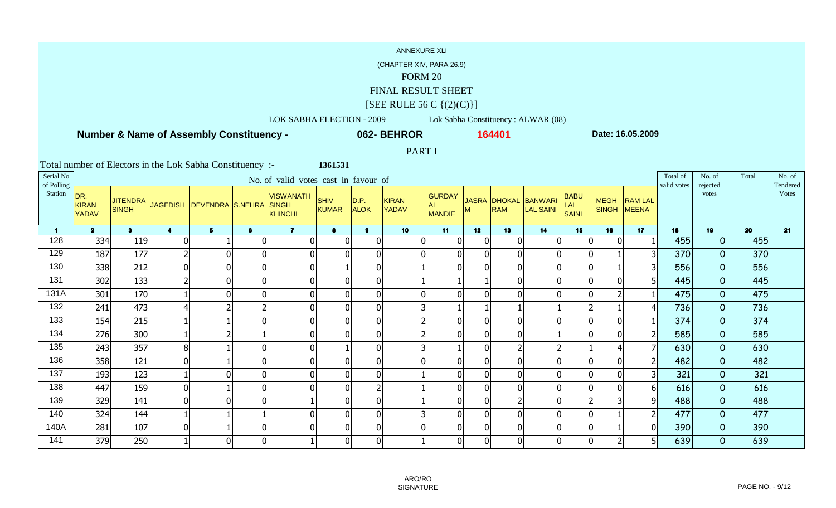## FINAL RESULT SHEET

# $[SEE$  RULE 56 C  $\{(2)(C)\}]$

LOK SABHA ELECTION - 2009 Lok Sabha Constituency : ALWAR (08)

**062- BEHROR**

 **Number & Name of Assembly Constituency -**

**<sup>164401</sup> Date: 16.05.2009**

PART I

| Serial No<br>of Polling |                                     |                                 |                         |                           |                | No. of valid votes cast in favour of        |                             |                     |                              |                                      |                 |            |                                   |                             |                             |                         | Total of<br>valid votes | No. of<br>rejected | Total | No. of<br>Tendered |
|-------------------------|-------------------------------------|---------------------------------|-------------------------|---------------------------|----------------|---------------------------------------------|-----------------------------|---------------------|------------------------------|--------------------------------------|-----------------|------------|-----------------------------------|-----------------------------|-----------------------------|-------------------------|-------------------------|--------------------|-------|--------------------|
| Station                 | DR.<br><b>KIRAN</b><br><b>YADAV</b> | <b>JITENDRA</b><br><b>SINGH</b> |                         | JAGEDISH DEVENDRA S.NEHRA |                | <b>VISWANATH</b><br><b>SINGH</b><br>KHINCHI | <b>SHIV</b><br><b>KUMAR</b> | D.P.<br><b>ALOK</b> | <b>KIRAN</b><br><b>YADAV</b> | <b>GURDAY</b><br><b>AL</b><br>MANDIE |                 | <b>RAM</b> | JASRA DHOKAL BANWARI<br>LAL SAINI | <b>BABU</b><br>LAL<br>SAINI | <b>MEGH</b><br><b>SINGH</b> | <b>RAM LAL</b><br>MEENA |                         | votes              |       | <b>Votes</b>       |
| $\mathbf 1$             | 2 <sup>1</sup>                      | 3 <sup>1</sup>                  | $\overline{\mathbf{4}}$ | 5 <sub>1</sub>            | 6              | $\overline{7}$                              | 8                           | $\mathbf{9}$        | 10                           | 11                                   | 12 <sub>2</sub> | 13         | 14                                | 15                          | 16                          | 17                      | 18                      | 19                 | 20    | 21                 |
| 128                     | 334                                 | 119                             | 0                       |                           | $\overline{0}$ | 0                                           |                             | $\boldsymbol{0}$    |                              |                                      | $\Omega$        |            | $\mathbf 0$                       |                             | 0                           |                         | 455                     | $\overline{O}$     | 455   |                    |
| 129                     | 187                                 | 177                             | $\overline{2}$          | $\Omega$                  | $\overline{0}$ | $\Omega$                                    | 0                           | 0                   |                              | ΩI                                   | $\Omega$        |            | $\mathbf{0}$                      |                             |                             |                         | 370                     | $\overline{O}$     | 370   |                    |
| 130                     | 338                                 | 212                             | $\overline{0}$          | 0                         | $\overline{0}$ | $\mathbf 0$                                 |                             | $\mathbf 0$         |                              | 0                                    | $\Omega$        |            | $\mathbf{0}$                      | $\Omega$                    |                             |                         | 556                     | 0                  | 556   |                    |
| 131                     | 302                                 | 133                             | 2                       | 0                         | 0              | $\mathbf 0$                                 | $\Omega$                    | $\mathbf 0$         |                              |                                      |                 |            | $\overline{0}$                    | 0                           | $\overline{0}$              |                         | 445                     | $\overline{O}$     | 445   |                    |
| 131A                    | 301                                 | 170                             |                         | $\mathbf 0$               | 0              | $\mathbf 0$                                 | $\overline{0}$              | $\overline{0}$      |                              | ΩI                                   | $\Omega$        |            | $\mathbf 0$                       | 01                          |                             |                         | 475                     | $\overline{O}$     | 475   |                    |
| 132                     | 241                                 | 473                             | 4                       | $\overline{2}$            | $\overline{2}$ | $\Omega$                                    | $\Omega$                    | $\mathbf 0$         |                              |                                      |                 |            |                                   |                             |                             |                         | 736                     | 0                  | 736   |                    |
| 133                     | 154                                 | 215                             |                         |                           | $\overline{0}$ | $\Omega$                                    | $\mathbf 0$                 | $\mathbf 0$         |                              | 01                                   | $\Omega$        |            | $\mathbf{0}$                      | $\Omega$                    | $\overline{0}$              |                         | 374                     | $\overline{O}$     | 374   |                    |
| 134                     | 276                                 | 300                             |                         |                           |                | $\Omega$                                    | $\Omega$                    | $\mathbf 0$         |                              |                                      | $\Omega$        |            |                                   |                             | $\overline{0}$              |                         | 585                     | 0                  | 585   |                    |
| 135                     | 243                                 | 357                             | 8 <sup>1</sup>          |                           | $\overline{0}$ | $\overline{0}$                              |                             | $\mathbf 0$         |                              |                                      | $\Omega$        |            | $\overline{2}$                    |                             | 4                           |                         | 630                     | $\overline{O}$     | 630   |                    |
| 136                     | 358                                 | 121                             | 0                       |                           | $\overline{0}$ | $\mathbf 0$                                 | $\Omega$                    | $\mathbf 0$         |                              | 0                                    | $\Omega$        |            | $\mathbf 0$                       |                             | $\overline{0}$              |                         | 482                     | $\overline{O}$     | 482   |                    |
| 137                     | 193                                 | 123                             |                         | 0                         | $\overline{0}$ | $\mathbf 0$                                 | $\Omega$                    | 0                   |                              | ΩI                                   | $\Omega$        |            | $\mathbf 0$                       |                             | 0                           |                         | 321                     | $\overline{O}$     | 321   |                    |
| 138                     | 447                                 | 159                             | $\overline{0}$          |                           | $\overline{0}$ | $\mathbf 0$                                 | $\mathbf 0$                 | $\overline{2}$      |                              | ΩI                                   |                 |            | $\mathbf{0}$                      | 01                          | $\overline{0}$              | 6 <sup>1</sup>          | 616                     | $\overline{0}$     | 616   |                    |
| 139                     | 329                                 | 141                             | $\overline{0}$          | $\Omega$                  | $\overline{0}$ |                                             | $\Omega$                    | $\mathbf 0$         |                              | ΩI                                   | $\Omega$        |            | $\mathbf{0}$                      |                             | 3                           |                         | 488                     | $\overline{O}$     | 488   |                    |
| 140                     | 324                                 | 144                             |                         |                           |                | 0                                           | $\overline{0}$              | $\mathbf 0$         |                              | ΩI                                   | $\Omega$        |            | $\mathbf 0$                       | 01                          |                             |                         | 477                     | $\overline{O}$     | 477   |                    |
| 140A                    | 281                                 | 107                             | 0                       |                           | $\overline{0}$ | 0                                           | $\Omega$                    | $\mathbf 0$         |                              | ΩI                                   | $\Omega$        |            | $\mathbf 0$                       | $\Omega$                    |                             | $\Omega$                | 390                     | 0                  | 390   |                    |
| 141                     | 379                                 | 250                             |                         | $\mathbf{0}$              | 0              |                                             | $\Omega$                    | $\overline{0}$      |                              | 01                                   | $\overline{0}$  |            | $\overline{0}$                    | $\overline{0}$              | $\overline{2}$              |                         | 639                     | $\overline{O}$     | 639   |                    |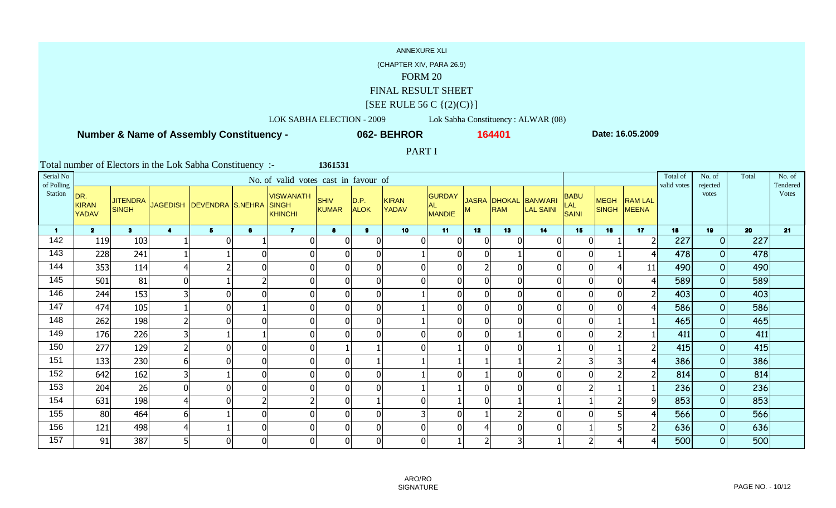## FINAL RESULT SHEET

# $[SEE$  RULE 56 C  $\{(2)(C)\}]$

LOK SABHA ELECTION - 2009 Lok Sabha Constituency : ALWAR (08)

**062- BEHROR**

 **Number & Name of Assembly Constituency -**

**<sup>164401</sup> Date: 16.05.2009**

PART I

| Serial No<br>of Polling |                              |                                 |                |                           |                | No. of valid votes cast in favour of        |                      |                     |                              |                                       |                 |     |                                          |                                    |                             |                                | Total of<br>valid votes | No. of<br>rejected | Total | No. of<br>Tendered |
|-------------------------|------------------------------|---------------------------------|----------------|---------------------------|----------------|---------------------------------------------|----------------------|---------------------|------------------------------|---------------------------------------|-----------------|-----|------------------------------------------|------------------------------------|-----------------------------|--------------------------------|-------------------------|--------------------|-------|--------------------|
| Station                 | DR.<br><b>KIRAN</b><br>YADAV | <b>JITENDRA</b><br><b>SINGH</b> |                | JAGEDISH DEVENDRA S.NEHRA |                | <b>VISWANATH</b><br><b>SINGH</b><br>KHINCHI | <b>SHIV</b><br>KUMAR | D.P.<br><b>ALOK</b> | <b>KIRAN</b><br><b>YADAV</b> | <b>GURDAY</b><br>AL.<br><b>MANDIE</b> |                 | RAM | JASRA DHOKAL BANWARI<br><b>LAL SAINI</b> | <b>BABU</b><br>LAL<br><b>SAINI</b> | <b>MEGH</b><br><b>SINGH</b> | <b>RAM LAL</b><br><b>MEENA</b> |                         | votes              |       | <b>Votes</b>       |
| $\blacksquare$          | 2 <sup>1</sup>               | 3 <sup>1</sup>                  | $\overline{4}$ | 5 <sub>1</sub>            | 6              | $\overline{7}$                              | $\bullet$            | $\mathbf{9}$        | 10                           | 11                                    | 12 <sub>2</sub> | 13  | 14                                       | 15                                 | 16                          | 17                             | 18                      | 19                 | 20    | 21                 |
| 142                     | 119                          | 103                             |                | $\Omega$                  |                | 0                                           |                      | 0                   |                              |                                       |                 |     | $\Omega$                                 | $\Omega$                           |                             |                                | 227                     | 0                  | 227   |                    |
| 143                     | 228                          | 241                             |                |                           | $\mathbf{0}$   | $\mathbf 0$                                 |                      | $\Omega$            |                              |                                       |                 |     | $\overline{0}$                           | $\mathbf 0$                        |                             |                                | 478                     | 0                  | 478   |                    |
| 144                     | 353                          | 114                             | 4              |                           | $\overline{0}$ | $\mathbf 0$                                 |                      | $\mathbf{0}$        |                              |                                       |                 |     | $\Omega$                                 | $\mathbf 0$                        |                             | 11                             | 490                     | 0                  | 490   |                    |
| 145                     | 501                          | 81                              | $\overline{0}$ |                           | $\overline{2}$ | $\mathbf 0$                                 | $\Omega$             | $\mathbf{0}$        |                              |                                       | $\Omega$        |     | $\overline{0}$                           | $\mathbf 0$                        | $\overline{0}$              | 4                              | 589                     | 0                  | 589   |                    |
| 146                     | 244                          | 153                             | $\overline{3}$ | $\overline{0}$            | $\overline{0}$ | $\mathbf 0$                                 | 0                    | $\mathbf 0$         |                              |                                       | $\Omega$        |     | $\mathbf 0$                              | $\boldsymbol{0}$                   | 0                           |                                | 403                     | 0                  | 403   |                    |
| 147                     | 474                          | 105                             |                | $\mathbf 0$               |                | $\mathbf 0$                                 | 0                    | $\mathbf 0$         |                              |                                       | $\mathbf 0$     |     | $\mathbf{0}$                             | $\mathbf 0$                        | 0                           |                                | 586                     | 0                  | 586   |                    |
| 148                     | 262                          | 198                             | $\overline{2}$ | $\mathbf 0$               | $\overline{0}$ | $\mathbf 0$                                 | 0                    | $\mathbf 0$         |                              |                                       | $\Omega$        |     | $\mathbf{0}$                             | $\overline{0}$                     |                             |                                | 465                     | 0                  | 465   |                    |
| 149                     | 176                          | 226                             | 3 <sup>1</sup> |                           |                | $\mathbf 0$                                 |                      | $\mathbf{0}$        |                              |                                       | $\mathbf 0$     |     | $\overline{0}$                           | $\mathbf 0$                        |                             |                                | 411                     | $\overline{O}$     | 411   |                    |
| 150                     | 277                          | 129                             | $\overline{2}$ | $\mathbf 0$               | $\overline{0}$ | $\mathbf 0$                                 |                      |                     |                              |                                       |                 |     |                                          | $\mathbf 0$                        |                             |                                | 415                     | $\overline{O}$     | 415   |                    |
| 151                     | 133                          | 230                             | 6 <sup>1</sup> | $\Omega$                  | $\overline{0}$ | 0                                           | 0                    |                     |                              |                                       |                 |     |                                          | 3                                  |                             |                                | 386                     | 0                  | 386   |                    |
| 152                     | 642                          | 162                             | 3              |                           | $\overline{0}$ | $\mathbf 0$                                 | 0                    | $\overline{0}$      |                              |                                       |                 |     | $\overline{0}$                           | $\mathbf 0$                        |                             |                                | 814                     | $\overline{O}$     | 814   |                    |
| 153                     | 204                          | 26                              | $\overline{0}$ | $\mathbf 0$               | $\overline{0}$ | $\mathbf 0$                                 | 0                    | $\mathbf{0}$        |                              |                                       | $\Omega$        |     | $\Omega$                                 | $\overline{2}$                     |                             |                                | 236                     | 0                  | 236   |                    |
| 154                     | 631                          | 198                             | 4              | $\Omega$                  | $\overline{2}$ | 2                                           | 0                    |                     |                              |                                       | $\Omega$        |     |                                          |                                    |                             | 9                              | 853                     | 0                  | 853   |                    |
| 155                     | 80                           | 464                             | 6 <sup>1</sup> |                           | $\overline{0}$ | 0                                           | $\mathbf 0$          | $\mathbf 0$         |                              |                                       |                 |     | $\mathbf{0}$                             | $\Omega$                           | 5                           | 4                              | 566                     | 0                  | 566   |                    |
| 156                     | 121                          | 498                             | 4              |                           | $\overline{0}$ | $\mathbf 0$                                 | $\Omega$             | $\mathbf 0$         | 0                            |                                       | 4               |     | $\Omega$                                 |                                    | 5                           |                                | 636                     | 0                  | 636   |                    |
| 157                     | 91                           | 387                             | 5 <sup>1</sup> | $\mathbf 0$               | $\overline{0}$ | $\overline{0}$                              | $\Omega$             | $\mathbf 0$         | $\overline{0}$               |                                       |                 |     |                                          | $\overline{2}$                     | 4                           |                                | 500                     | 0                  | 500   |                    |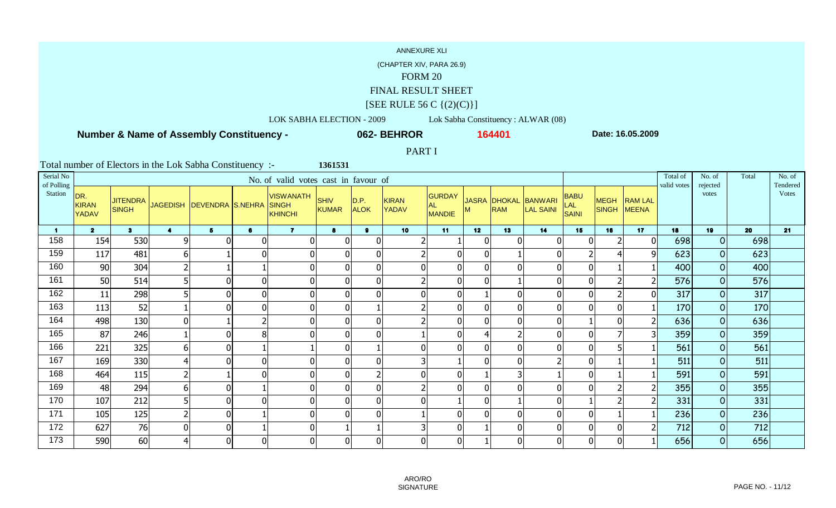## FINAL RESULT SHEET

# $[SEE$  RULE 56 C  $\{(2)(C)\}]$

LOK SABHA ELECTION - 2009 Lok Sabha Constituency : ALWAR (08)**062- BEHROR**

 **Number & Name of Assembly Constituency -**

**<sup>164401</sup> Date: 16.05.2009**

PART I

**1361531**Total number of Electors in the Lok Sabha Constituency :-

| Serial No<br>of Polling |                                     |                                 |                         |                           |                  | No. of valid votes cast in favour of               |                             |                     |                              |                                      |                 |     |                                   |                             |                             |                                | Total of<br>valid votes | No. of<br>rejected | Total | No. of<br>Tendered |
|-------------------------|-------------------------------------|---------------------------------|-------------------------|---------------------------|------------------|----------------------------------------------------|-----------------------------|---------------------|------------------------------|--------------------------------------|-----------------|-----|-----------------------------------|-----------------------------|-----------------------------|--------------------------------|-------------------------|--------------------|-------|--------------------|
| Station                 | DR.<br><b>KIRAN</b><br><b>YADAV</b> | <b>JITENDRA</b><br><b>SINGH</b> |                         | JAGEDISH DEVENDRA S.NEHRA |                  | <b>VISWANATH</b><br><b>SINGH</b><br><b>KHINCHI</b> | <b>SHIV</b><br><b>KUMAR</b> | D.P.<br><b>ALOK</b> | <b>KIRAN</b><br><b>YADAV</b> | <b>GURDAY</b><br><b>AL</b><br>MANDIE |                 | RAM | JASRA DHOKAL BANWARI<br>LAL SAINI | <b>BABU</b><br>LAL<br>SAINI | <b>MEGH</b><br><b>SINGH</b> | <b>RAM LAL</b><br><b>MEENA</b> |                         | votes              |       | <b>Votes</b>       |
|                         | 2 <sup>7</sup>                      | 3 <sup>1</sup>                  | $\overline{\mathbf{4}}$ | $5 -$                     | 6                | $\mathbf{7}$                                       | 8                           | $\mathbf{9}$        | 10                           | 11                                   | 12 <sub>2</sub> | 13  | 14                                | 15                          | 16                          | 17                             | 18                      | 19                 | 20    | 21                 |
| 158                     | 154                                 | 530                             | $\overline{9}$          | 0                         | $\overline{0}$   | $\Omega$                                           |                             | 0                   | 2                            |                                      |                 |     | $\mathbf 0$                       |                             | 2                           | $\Omega$                       | 698                     | 0                  | 698   |                    |
| 159                     | 117                                 | 481                             | $\epsilon$              |                           | 0                | $\overline{0}$                                     | 0                           | 0                   |                              |                                      |                 |     | $\mathbf 0$                       |                             |                             |                                | 623                     | $\overline{O}$     | 623   |                    |
| 160                     | 90                                  | 304                             | $\overline{2}$          |                           |                  | $\Omega$                                           |                             | $\mathbf 0$         |                              |                                      | $\Omega$        |     | $\overline{0}$                    |                             |                             |                                | 400                     | 0                  | 400   |                    |
| 161                     | 50                                  | 514                             | $\mathsf{S}$            | $\overline{0}$            | $\overline{0}$   | $\boldsymbol{0}$                                   | 0                           | 0                   |                              |                                      | $\Omega$        |     | $\overline{0}$                    |                             |                             |                                | 576                     | 0                  | 576   |                    |
| 162                     | 11                                  | 298                             | $\mathsf{S}$            | $\overline{0}$            | $\boldsymbol{0}$ | $\overline{0}$                                     | 0                           | $\mathbf{0}$        |                              |                                      |                 |     | $\overline{0}$                    |                             |                             | 0                              | 317                     | 0                  | 317   |                    |
| 163                     | 113                                 | 52                              |                         | 0                         | $\overline{0}$   | $\overline{0}$                                     | 0                           |                     |                              |                                      | $\Omega$        |     | $\overline{0}$                    |                             | $\overline{0}$              |                                | 170                     | $\overline{O}$     | 170   |                    |
| 164                     | 498                                 | 130                             | 0                       |                           | $\overline{2}$   | $\boldsymbol{0}$                                   | 0                           | $\mathbf 0$         |                              |                                      | $\Omega$        |     | $\mathbf{0}$                      |                             | $\overline{0}$              |                                | 636                     | $\overline{O}$     | 636   |                    |
| 165                     | 87                                  | 246                             |                         | 0                         | 8                | $\boldsymbol{0}$                                   |                             | $\Omega$            |                              |                                      |                 |     | $\mathbf{0}$                      |                             |                             |                                | 359                     | $\overline{O}$     | 359   |                    |
| 166                     | 221                                 | 325                             | 6 <sup>1</sup>          | $\overline{0}$            |                  |                                                    | $\Omega$                    |                     |                              |                                      | $\Omega$        |     | $\overline{0}$                    |                             |                             |                                | 561                     | $\overline{O}$     | 561   |                    |
| 167                     | 169                                 | 330                             | 41                      | 0                         | $\overline{0}$   | 0                                                  | 0                           | $\Omega$            | 3                            |                                      |                 |     |                                   |                             |                             |                                | 511                     | $\overline{O}$     | 511   |                    |
| 168                     | 464                                 | 115                             | $\overline{2}$          |                           | $\overline{0}$   | $\mathbf 0$                                        | 0                           |                     |                              |                                      |                 |     |                                   |                             |                             |                                | 591                     | $\overline{O}$     | 591   |                    |
| 169                     | 48                                  | 294                             | 6 <sup>1</sup>          | 0                         |                  | $\boldsymbol{0}$                                   | 0                           | $\mathbf{0}$        |                              |                                      | $\Omega$        |     | $\mathbf{0}$                      |                             |                             |                                | 355                     | 0                  | 355   |                    |
| 170                     | 107                                 | 212                             | 5                       | $\overline{0}$            | $\overline{0}$   | $\overline{0}$                                     | 0                           | $\mathbf 0$         |                              |                                      | $\Omega$        |     | $\mathbf{0}$                      |                             |                             |                                | 331                     | $\overline{O}$     | 331   |                    |
| 171                     | 105                                 | 125                             | $\mathsf{2}$            | $\overline{0}$            |                  | $\overline{0}$                                     | 0                           | $\mathbf 0$         |                              | U                                    | $\Omega$        |     | $\overline{0}$                    |                             |                             |                                | 236                     | 0                  | 236   |                    |
| 172                     | 627                                 | 76                              | 0                       | $\overline{0}$            |                  | $\boldsymbol{0}$                                   |                             |                     |                              |                                      |                 |     | $\overline{0}$                    |                             | $\overline{0}$              |                                | 712                     | $\overline{O}$     | 712   |                    |
| 173                     | 590                                 | 60                              | 41                      | $\overline{0}$            | $\overline{0}$   | $\mathbf 0$                                        | $\Omega$                    | $\mathbf 0$         | $\overline{0}$               | 0                                    |                 |     | $\overline{0}$                    | $\Omega$                    | $\overline{0}$              |                                | 656                     | $\overline{O}$     | 656   |                    |

ARO/ROSIGNATURE